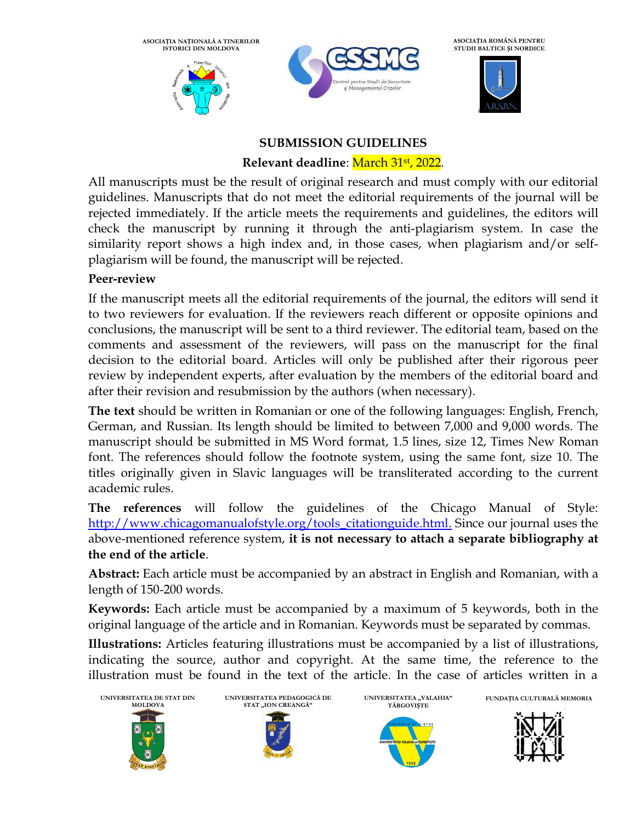**ASOCIAȚIA NAȚIONALĂ A TINERILOR ISTORICI DIN MOLDOVA**





**ASOCIAȚIA ROMÂNĂ PENTRU STUDII BALTICE ȘI NORDICE**

â

## **SUBMISSION GUIDELINES**

## **Relevant deadline**: March 31st , 2022.

All manuscripts must be the result of original research and must comply with our editorial guidelines. Manuscripts that do not meet the editorial requirements of the journal will be rejected immediately. If the article meets the requirements and guidelines, the editors will check the manuscript by running it through the anti-plagiarism system. In case the similarity report shows a high index and, in those cases, when plagiarism and/or selfplagiarism will be found, the manuscript will be rejected.

## **Peer-review**

If the manuscript meets all the editorial requirements of the journal, the editors will send it to two reviewers for evaluation. If the reviewers reach different or opposite opinions and conclusions, the manuscript will be sent to a third reviewer. The editorial team, based on the comments and assessment of the reviewers, will pass on the manuscript for the final decision to the editorial board. Articles will only be published after their rigorous peer review by independent experts, after evaluation by the members of the editorial board and after their revision and resubmission by the authors (when necessary).

**The text** should be written in Romanian or one of the following languages: English, French, German, and Russian. Its length should be limited to between 7,000 and 9,000 words. The manuscript should be submitted in MS Word format, 1.5 lines, size 12, Times New Roman font. The references should follow the footnote system, using the same font, size 10. The titles originally given in Slavic languages will be transliterated according to the current academic rules.

**The references** will follow the guidelines of the Chicago Manual of Style: [http://www.chicagomanualofstyle.org/tools\\_citationguide.html.](http://www.chicagomanualofstyle.org/tools_citationguide.html) Since our journal uses the above-mentioned reference system, **it is not necessary to attach a separate bibliography at the end of the article**.

**Abstract:** Each article must be accompanied by an abstract in English and Romanian, with a length of 150-200 words.

**Keywords:** Each article must be accompanied by a maximum of 5 keywords, both in the original language of the article and in Romanian. Keywords must be separated by commas.

**Illustrations:** Articles featuring illustrations must be accompanied by a list of illustrations, indicating the source, author and copyright. At the same time, the reference to the illustration must be found in the text of the article. In the case of articles written in a